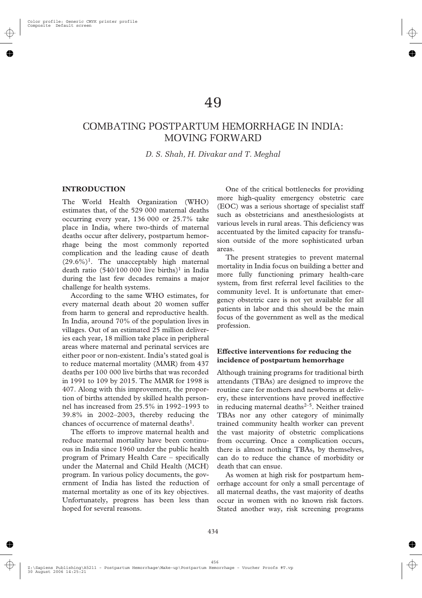# COMBATING POSTPARTUM HEMORRHAGE IN INDIA: MOVING FORWARD

*D. S. Shah, H. Divakar and T. Meghal*

#### **INTRODUCTION**

The World Health Organization (WHO) estimates that, of the 529 000 maternal deaths occurring every year, 136 000 or 25.7% take place in India, where two-thirds of maternal deaths occur after delivery, postpartum hemorrhage being the most commonly reported complication and the leading cause of death  $(29.6\%)$ <sup>1</sup>. The unacceptably high maternal death ratio  $(540/100 000$  live births)<sup>1</sup> in India during the last few decades remains a major challenge for health systems.

According to the same WHO estimates, for every maternal death about 20 women suffer from harm to general and reproductive health. In India, around 70% of the population lives in villages. Out of an estimated 25 million deliveries each year, 18 million take place in peripheral areas where maternal and perinatal services are either poor or non-existent. India's stated goal is to reduce maternal mortality (MMR) from 437 deaths per 100 000 live births that was recorded in 1991 to 109 by 2015. The MMR for 1998 is 407. Along with this improvement, the proportion of births attended by skilled health personnel has increased from 25.5% in 1992–1993 to 39.8% in 2002–2003, thereby reducing the chances of occurrence of maternal deaths<sup>1</sup>.

The efforts to improve maternal health and reduce maternal mortality have been continuous in India since 1960 under the public health program of Primary Health Care – specifically under the Maternal and Child Health (MCH) program. In various policy documents, the government of India has listed the reduction of maternal mortality as one of its key objectives. Unfortunately, progress has been less than hoped for several reasons.

One of the critical bottlenecks for providing more high-quality emergency obstetric care (EOC) was a serious shortage of specialist staff such as obstetricians and anesthesiologists at various levels in rural areas. This deficiency was accentuated by the limited capacity for transfusion outside of the more sophisticated urban areas.

The present strategies to prevent maternal mortality in India focus on building a better and more fully functioning primary health-care system, from first referral level facilities to the community level. It is unfortunate that emergency obstetric care is not yet available for all patients in labor and this should be the main focus of the government as well as the medical profession.

#### **Effective interventions for reducing the incidence of postpartum hemorrhage**

Although training programs for traditional birth attendants (TBAs) are designed to improve the routine care for mothers and newborns at delivery, these interventions have proved ineffective in reducing maternal deaths<sup>2–5</sup>. Neither trained TBAs nor any other category of minimally trained community health worker can prevent the vast majority of obstetric complications from occurring. Once a complication occurs, there is almost nothing TBAs, by themselves, can do to reduce the chance of morbidity or death that can ensue.

As women at high risk for postpartum hemorrhage account for only a small percentage of all maternal deaths, the vast majority of deaths occur in women with no known risk factors. Stated another way, risk screening programs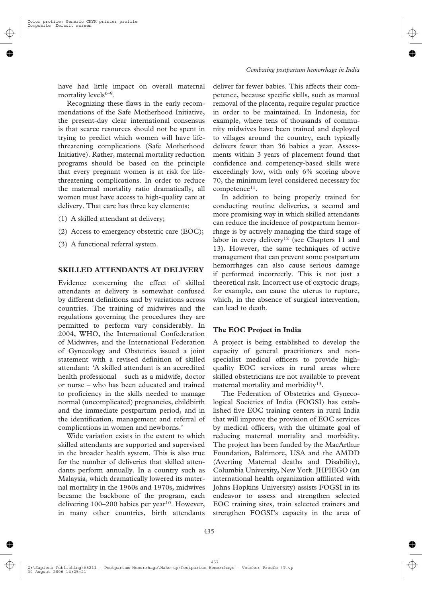have had little impact on overall maternal mortality levels $6-9$ .

Recognizing these flaws in the early recommendations of the Safe Motherhood Initiative, the present-day clear international consensus is that scarce resources should not be spent in trying to predict which women will have lifethreatening complications (Safe Motherhood Initiative). Rather, maternal mortality reduction programs should be based on the principle that every pregnant women is at risk for lifethreatening complications. In order to reduce the maternal mortality ratio dramatically, all women must have access to high-quality care at delivery. That care has three key elements:

- (1) A skilled attendant at delivery;
- (2) Access to emergency obstetric care (EOC);
- (3) A functional referral system.

# **SKILLED ATTENDANTS AT DELIVERY**

Evidence concerning the effect of skilled attendants at delivery is somewhat confused by different definitions and by variations across countries. The training of midwives and the regulations governing the procedures they are permitted to perform vary considerably. In 2004, WHO, the International Confederation of Midwives, and the International Federation of Gynecology and Obstetrics issued a joint statement with a revised definition of skilled attendant: 'A skilled attendant is an accredited health professional – such as a midwife, doctor or nurse – who has been educated and trained to proficiency in the skills needed to manage normal (uncomplicated) pregnancies, childbirth and the immediate postpartum period, and in the identification, management and referral of complications in women and newborns.'

Wide variation exists in the extent to which skilled attendants are supported and supervised in the broader health system. This is also true for the number of deliveries that skilled attendants perform annually. In a country such as Malaysia, which dramatically lowered its maternal mortality in the 1960s and 1970s, midwives became the backbone of the program, each delivering  $100-200$  babies per year<sup>10</sup>. However, in many other countries, birth attendants deliver far fewer babies. This affects their competence, because specific skills, such as manual removal of the placenta, require regular practice in order to be maintained. In Indonesia, for example, where tens of thousands of community midwives have been trained and deployed to villages around the country, each typically delivers fewer than 36 babies a year. Assessments within 3 years of placement found that confidence and competency-based skills were exceedingly low, with only 6% scoring above 70, the minimum level considered necessary for competence<sup>11</sup>.

In addition to being properly trained for conducting routine deliveries, a second and more promising way in which skilled attendants can reduce the incidence of postpartum hemorrhage is by actively managing the third stage of labor in every delivery<sup>12</sup> (see Chapters 11 and 13). However, the same techniques of active management that can prevent some postpartum hemorrhages can also cause serious damage if performed incorrectly. This is not just a theoretical risk. Incorrect use of oxytocic drugs, for example, can cause the uterus to rupture, which, in the absence of surgical intervention, can lead to death.

# **The EOC Project in India**

A project is being established to develop the capacity of general practitioners and nonspecialist medical officers to provide highquality EOC services in rural areas where skilled obstetricians are not available to prevent maternal mortality and morbidity<sup>13</sup>.

The Federation of Obstetrics and Gynecological Societies of India (FOGSI) has established five EOC training centers in rural India that will improve the provision of EOC services by medical officers, with the ultimate goal of reducing maternal mortality and morbidity. The project has been funded by the MacArthur Foundation, Baltimore, USA and the AMDD (Averting Maternal deaths and Disability), Columbia University, New York. JHPIEGO (an international health organization affiliated with Johns Hopkins University) assists FOGSI in its endeavor to assess and strengthen selected EOC training sites, train selected trainers and strengthen FOGSI's capacity in the area of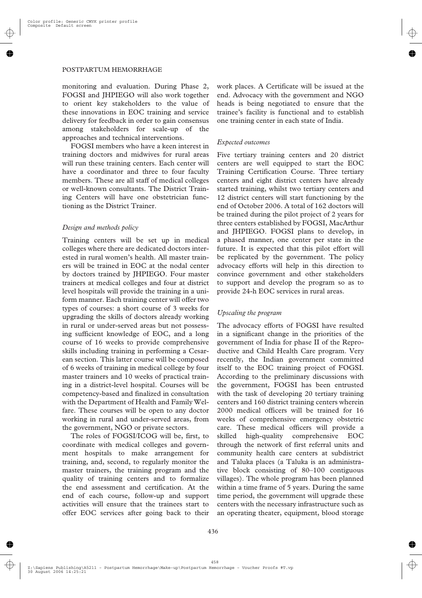monitoring and evaluation. During Phase 2, FOGSI and JHPIEGO will also work together to orient key stakeholders to the value of these innovations in EOC training and service delivery for feedback in order to gain consensus among stakeholders for scale-up of the approaches and technical interventions.

FOGSI members who have a keen interest in training doctors and midwives for rural areas will run these training centers. Each center will have a coordinator and three to four faculty members. These are all staff of medical colleges or well-known consultants. The District Training Centers will have one obstetrician functioning as the District Trainer.

#### *Design and methods policy*

Training centers will be set up in medical colleges where there are dedicated doctors interested in rural women's health. All master trainers will be trained in EOC at the nodal center by doctors trained by JHPIEGO. Four master trainers at medical colleges and four at district level hospitals will provide the training in a uniform manner. Each training center will offer two types of courses: a short course of 3 weeks for upgrading the skills of doctors already working in rural or under-served areas but not possessing sufficient knowledge of EOC, and a long course of 16 weeks to provide comprehensive skills including training in performing a Cesarean section. This latter course will be composed of 6 weeks of training in medical college by four master trainers and 10 weeks of practical training in a district-level hospital. Courses will be competency-based and finalized in consultation with the Department of Health and Family Welfare. These courses will be open to any doctor working in rural and under-served areas, from the government, NGO or private sectors.

The roles of FOGSI/ICOG will be, first, to coordinate with medical colleges and government hospitals to make arrangement for training, and, second, to regularly monitor the master trainers, the training program and the quality of training centers and to formalize the end assessment and certification. At the end of each course, follow-up and support activities will ensure that the trainees start to offer EOC services after going back to their work places. A Certificate will be issued at the end. Advocacy with the government and NGO heads is being negotiated to ensure that the trainee's facility is functional and to establish one training center in each state of India.

#### *Expected outcomes*

Five tertiary training centers and 20 district centers are well equipped to start the EOC Training Certification Course. Three tertiary centers and eight district centers have already started training, whilst two tertiary centers and 12 district centers will start functioning by the end of October 2006. A total of 162 doctors will be trained during the pilot project of 2 years for three centers established by FOGSI, MacArthur and JHPIEGO. FOGSI plans to develop, in a phased manner, one center per state in the future. It is expected that this pilot effort will be replicated by the government. The policy advocacy efforts will help in this direction to convince government and other stakeholders to support and develop the program so as to provide 24-h EOC services in rural areas.

#### *Upscaling the program*

The advocacy efforts of FOGSI have resulted in a significant change in the priorities of the government of India for phase II of the Reproductive and Child Health Care program. Very recently, the Indian government committed itself to the EOC training project of FOGSI. According to the preliminary discussions with the government, FOGSI has been entrusted with the task of developing 20 tertiary training centers and 160 district training centers wherein 2000 medical officers will be trained for 16 weeks of comprehensive emergency obstetric care. These medical officers will provide a skilled high-quality comprehensive EOC through the network of first referral units and community health care centers at subdistrict and Taluka places (a Taluka is an administrative block consisting of 80–100 contiguous villages). The whole program has been planned within a time frame of 5 years. During the same time period, the government will upgrade these centers with the necessary infrastructure such as an operating theater, equipment, blood storage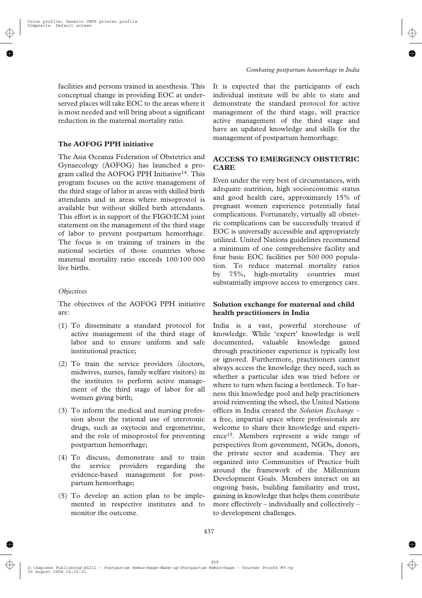facilities and persons trained in anesthesia. This conceptual change in providing EOC at underserved places will take EOC to the areas where it is most needed and will bring about a significant reduction in the maternal mortality ratio.

#### **The AOFOG PPH initiative**

The Asia Oceania Federation of Obstetrics and Gynaecology (AOFOG) has launched a program called the AOFOG PPH Initiative<sup>14</sup>. This program focuses on the active management of the third stage of labor in areas with skilled birth attendants and in areas where misoprostol is available but without skilled birth attendants. This effort is in support of the FIGO/ICM joint statement on the management of the third stage of labor to prevent postpartum hemorrhage. The focus is on training of trainers in the national societies of those countries whose maternal mortality ratio exceeds 100/100 000 live births.

#### *Objectives*

The objectives of the AOFOG PPH initiative are:

- (1) To disseminate a standard protocol for active management of the third stage of labor and to ensure uniform and safe institutional practice;
- (2) To train the service providers (doctors, midwives, nurses, family welfare visitors) in the institutes to perform active management of the third stage of labor for all women giving birth;
- (3) To inform the medical and nursing profession about the rational use of uterotonic drugs, such as oxytocin and ergometrine, and the role of misoprostol for preventing postpartum hemorrhage;
- (4) To discuss, demonstrate and to train the service providers regarding the evidence-based management for postpartum hemorrhage;
- (5) To develop an action plan to be implemented in respective institutes and to monitor the outcome.

It is expected that the participants of each individual institute will be able to state and demonstrate the standard protocol for active management of the third stage, will practice active management of the third stage and have an updated knowledge and skills for the management of postpartum hemorrhage.

#### **ACCESS TO EMERGENCY OBSTETRIC CARE**

Even under the very best of circumstances, with adequate nutrition, high socioeconomic status and good health care, approximately 15% of pregnant women experience potentially fatal complications. Fortunately, virtually all obstetric complications can be successfully treated if EOC is universally accessible and appropriately utilized. United Nations guidelines recommend a minimum of one comprehensive facility and four basic EOC facilities per 500 000 population. To reduce maternal mortality ratios by 75%, high-mortality countries must substantially improve access to emergency care.

#### **Solution exchange for maternal and child health practitioners in India**

India is a vast, powerful storehouse of knowledge. While 'expert' knowledge is well documented, valuable knowledge gained through practitioner experience is typically lost or ignored. Furthermore, practitioners cannot always access the knowledge they need, such as whether a particular idea was tried before or where to turn when facing a bottleneck. To harness this knowledge pool and help practitioners avoid reinventing the wheel, the United Nations offices in India created the *Solution Exchange* – a free, impartial space where professionals are welcome to share their knowledge and experience15. Members represent a wide range of perspectives from government, NGOs, donors, the private sector and academia. They are organized into Communities of Practice built around the framework of the Millennium Development Goals. Members interact on an ongoing basis, building familiarity and trust, gaining in knowledge that helps them contribute more effectively – individually and collectively – to development challenges.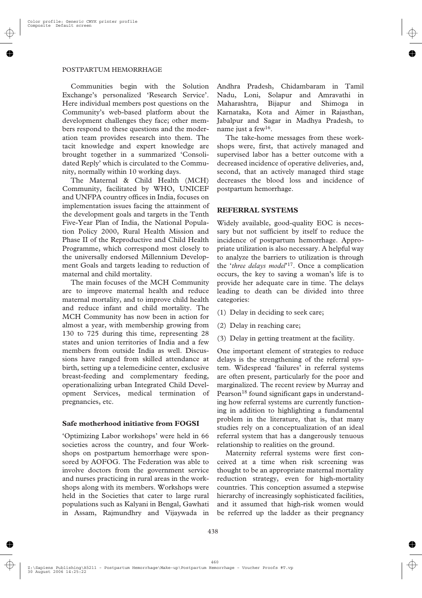Communities begin with the Solution Exchange's personalized 'Research Service'. Here individual members post questions on the Community's web-based platform about the development challenges they face; other members respond to these questions and the moderation team provides research into them. The tacit knowledge and expert knowledge are brought together in a summarized 'Consolidated Reply' which is circulated to the Community, normally within 10 working days.

The Maternal & Child Health (MCH) Community, facilitated by WHO, UNICEF and UNFPA country offices in India, focuses on implementation issues facing the attainment of the development goals and targets in the Tenth Five-Year Plan of India, the National Population Policy 2000, Rural Health Mission and Phase II of the Reproductive and Child Health Programme, which correspond most closely to the universally endorsed Millennium Development Goals and targets leading to reduction of maternal and child mortality.

The main focuses of the MCH Community are to improve maternal health and reduce maternal mortality, and to improve child health and reduce infant and child mortality. The MCH Community has now been in action for almost a year, with membership growing from 130 to 725 during this time, representing 28 states and union territories of India and a few members from outside India as well. Discussions have ranged from skilled attendance at birth, setting up a telemedicine center, exclusive breast-feeding and complementary feeding, operationalizing urban Integrated Child Development Services, medical termination of pregnancies, etc.

#### **Safe motherhood initiative from FOGSI**

'Optimizing Labor workshops' were held in 66 societies across the country, and four Workshops on postpartum hemorrhage were sponsored by AOFOG. The Federation was able to involve doctors from the government service and nurses practicing in rural areas in the workshops along with its members. Workshops were held in the Societies that cater to large rural populations such as Kalyani in Bengal, Gawhati in Assam, Rajmundhry and Vijaywada in Andhra Pradesh, Chidambaram in Tamil Nadu, Loni, Solapur and Amravathi in Maharashtra, Bijapur and Shimoga in Karnataka, Kota and Ajmer in Rajasthan, Jabalpur and Sagar in Madhya Pradesh, to name just a few16.

The take-home messages from these workshops were, first, that actively managed and supervised labor has a better outcome with a decreased incidence of operative deliveries, and, second, that an actively managed third stage decreases the blood loss and incidence of postpartum hemorrhage.

# **REFERRAL SYSTEMS**

Widely available, good-quality EOC is necessary but not sufficient by itself to reduce the incidence of postpartum hemorrhage. Appropriate utilization is also necessary. A helpful way to analyze the barriers to utilization is through the '*three delays model*' 17. Once a complication occurs, the key to saving a woman's life is to provide her adequate care in time. The delays leading to death can be divided into three categories:

- (1) Delay in deciding to seek care;
- (2) Delay in reaching care;
- (3) Delay in getting treatment at the facility.

One important element of strategies to reduce delays is the strengthening of the referral system. Widespread 'failures' in referral systems are often present, particularly for the poor and marginalized. The recent review by Murray and Pearson<sup>18</sup> found significant gaps in understanding how referral systems are currently functioning in addition to highlighting a fundamental problem in the literature, that is, that many studies rely on a conceptualization of an ideal referral system that has a dangerously tenuous relationship to realities on the ground.

Maternity referral systems were first conceived at a time when risk screening was thought to be an appropriate maternal mortality reduction strategy, even for high-mortality countries. This conception assumed a stepwise hierarchy of increasingly sophisticated facilities, and it assumed that high-risk women would be referred up the ladder as their pregnancy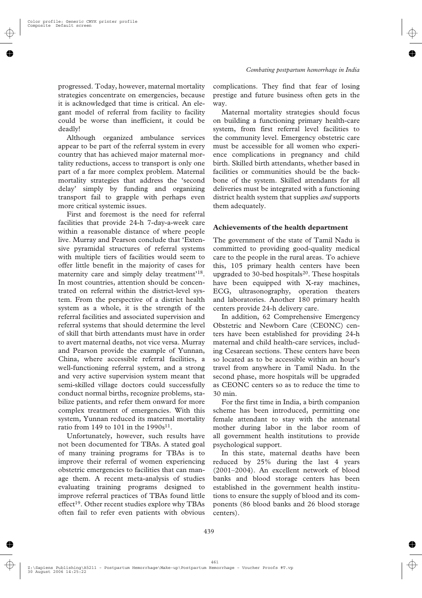progressed. Today, however, maternal mortality strategies concentrate on emergencies, because it is acknowledged that time is critical. An elegant model of referral from facility to facility could be worse than inefficient, it could be deadly!

Although organized ambulance services appear to be part of the referral system in every country that has achieved major maternal mortality reductions, access to transport is only one part of a far more complex problem. Maternal mortality strategies that address the 'second delay' simply by funding and organizing transport fail to grapple with perhaps even more critical systemic issues.

First and foremost is the need for referral facilities that provide 24-h 7-day-a-week care within a reasonable distance of where people live. Murray and Pearson conclude that 'Extensive pyramidal structures of referral systems with multiple tiers of facilities would seem to offer little benefit in the majority of cases for maternity care and simply delay treatment'18. In most countries, attention should be concentrated on referral within the district-level system. From the perspective of a district health system as a whole, it is the strength of the referral facilities and associated supervision and referral systems that should determine the level of skill that birth attendants must have in order to avert maternal deaths, not vice versa. Murray and Pearson provide the example of Yunnan, China, where accessible referral facilities, a well-functioning referral system, and a strong and very active supervision system meant that semi-skilled village doctors could successfully conduct normal births, recognize problems, stabilize patients, and refer them onward for more complex treatment of emergencies. With this system, Yunnan reduced its maternal mortality ratio from 149 to 101 in the  $1990s^{11}$ .

Unfortunately, however, such results have not been documented for TBAs. A stated goal of many training programs for TBAs is to improve their referral of women experiencing obstetric emergencies to facilities that can manage them. A recent meta-analysis of studies evaluating training programs designed to improve referral practices of TBAs found little effect<sup>19</sup>. Other recent studies explore why TBAs often fail to refer even patients with obvious

complications. They find that fear of losing prestige and future business often gets in the way.

Maternal mortality strategies should focus on building a functioning primary health-care system, from first referral level facilities to the community level. Emergency obstetric care must be accessible for all women who experience complications in pregnancy and child birth. Skilled birth attendants, whether based in facilities or communities should be the backbone of the system. Skilled attendants for all deliveries must be integrated with a functioning district health system that supplies *and* supports them adequately.

# **Achievements of the health department**

The government of the state of Tamil Nadu is committed to providing good-quality medical care to the people in the rural areas. To achieve this, 105 primary health centers have been upgraded to 30-bed hospitals<sup>20</sup>. These hospitals have been equipped with X-ray machines, ECG, ultrasonography, operation theaters and laboratories. Another 180 primary health centers provide 24-h delivery care.

In addition, 62 Comprehensive Emergency Obstetric and Newborn Care (CEONC) centers have been established for providing 24-h maternal and child health-care services, including Cesarean sections. These centers have been so located as to be accessible within an hour's travel from anywhere in Tamil Nadu. In the second phase, more hospitals will be upgraded as CEONC centers so as to reduce the time to 30 min.

For the first time in India, a birth companion scheme has been introduced, permitting one female attendant to stay with the antenatal mother during labor in the labor room of all government health institutions to provide psychological support.

In this state, maternal deaths have been reduced by 25% during the last 4 years (2001–2004). An excellent network of blood banks and blood storage centers has been established in the government health institutions to ensure the supply of blood and its components (86 blood banks and 26 blood storage centers).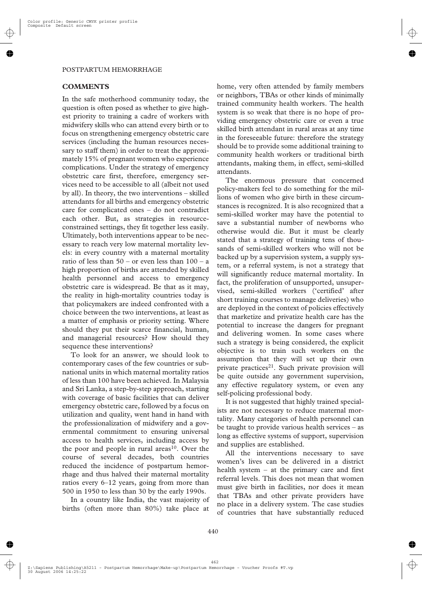#### **COMMENTS**

In the safe motherhood community today, the question is often posed as whether to give highest priority to training a cadre of workers with midwifery skills who can attend every birth or to focus on strengthening emergency obstetric care services (including the human resources necessary to staff them) in order to treat the approximately 15% of pregnant women who experience complications. Under the strategy of emergency obstetric care first, therefore, emergency services need to be accessible to all (albeit not used by all). In theory, the two interventions – skilled attendants for all births and emergency obstetric care for complicated ones – do not contradict each other. But, as strategies in resourceconstrained settings, they fit together less easily. Ultimately, both interventions appear to be necessary to reach very low maternal mortality levels: in every country with a maternal mortality ratio of less than  $50 -$  or even less than  $100 - a$ high proportion of births are attended by skilled health personnel and access to emergency obstetric care is widespread. Be that as it may, the reality in high-mortality countries today is that policymakers are indeed confronted with a choice between the two interventions, at least as a matter of emphasis or priority setting. Where should they put their scarce financial, human, and managerial resources? How should they sequence these interventions?

To look for an answer, we should look to contemporary cases of the few countries or subnational units in which maternal mortality ratios of less than 100 have been achieved. In Malaysia and Sri Lanka, a step-by-step approach, starting with coverage of basic facilities that can deliver emergency obstetric care, followed by a focus on utilization and quality, went hand in hand with the professionalization of midwifery and a governmental commitment to ensuring universal access to health services, including access by the poor and people in rural areas<sup>10</sup>. Over the course of several decades, both countries reduced the incidence of postpartum hemorrhage and thus halved their maternal mortality ratios every 6–12 years, going from more than 500 in 1950 to less than 30 by the early 1990s.

In a country like India, the vast majority of births (often more than 80%) take place at

home, very often attended by family members or neighbors, TBAs or other kinds of minimally trained community health workers. The health system is so weak that there is no hope of providing emergency obstetric care or even a true skilled birth attendant in rural areas at any time in the foreseeable future: therefore the strategy should be to provide some additional training to community health workers or traditional birth attendants, making them, in effect, semi-skilled attendants.

The enormous pressure that concerned policy-makers feel to do something for the millions of women who give birth in these circumstances is recognized. It is also recognized that a semi-skilled worker may have the potential to save a substantial number of newborns who otherwise would die. But it must be clearly stated that a strategy of training tens of thousands of semi-skilled workers who will not be backed up by a supervision system, a supply system, or a referral system, is not a strategy that will significantly reduce maternal mortality. In fact, the proliferation of unsupported, unsupervised, semi-skilled workers ('certified' after short training courses to manage deliveries) who are deployed in the context of policies effectively that marketize and privatize health care has the potential to increase the dangers for pregnant and delivering women. In some cases where such a strategy is being considered, the explicit objective is to train such workers on the assumption that they will set up their own private practices<sup>21</sup>. Such private provision will be quite outside any government supervision, any effective regulatory system, or even any self-policing professional body.

It is not suggested that highly trained specialists are not necessary to reduce maternal mortality. Many categories of health personnel can be taught to provide various health services – as long as effective systems of support, supervision and supplies are established.

All the interventions necessary to save women's lives can be delivered in a district health system – at the primary care and first referral levels. This does not mean that women must give birth in facilities, nor does it mean that TBAs and other private providers have no place in a delivery system. The case studies of countries that have substantially reduced